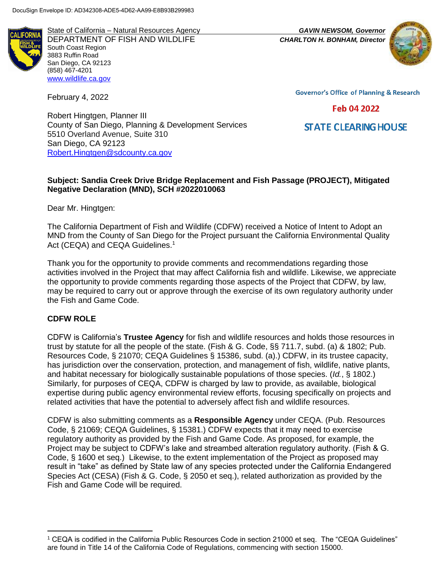State of California – Natural Resources Agency *GAVIN NEWSOM, Governor* DEPARTMENT OF FISH AND WILDLIFE *CHARLTON H. BONHAM, Director*  South Coast Region 3883 Ruffin Road San Diego, CA 92123 (858) 467-4201 [www.wildlife.ca.gov](http://www.wildlife.ca.gov/)

February 4, 2022



**Governor's Office of Planning & Research** 

# Feb 04 2022

**STATE CLEARING HOUSE** 

Robert Hingtgen, Planner III County of San Diego, Planning & Development Services 5510 Overland Avenue, Suite 310 San Diego, CA 92123 [Robert.Hingtgen@sdcounty.ca.gov](mailto:Robert.Hingtgen@sdcounty.ca.gov)

#### **Subject: Sandia Creek Drive Bridge Replacement and Fish Passage (PROJECT), Mitigated Negative Declaration (MND), SCH #2022010063**

Dear Mr. Hingtgen:

The California Department of Fish and Wildlife (CDFW) received a Notice of Intent to Adopt an MND from the County of San Diego for the Project pursuant the California Environmental Quality Act (CEQA) and CEQA Guidelines.<sup>1</sup>

Thank you for the opportunity to provide comments and recommendations regarding those activities involved in the Project that may affect California fish and wildlife. Likewise, we appreciate the opportunity to provide comments regarding those aspects of the Project that CDFW, by law, may be required to carry out or approve through the exercise of its own regulatory authority under the Fish and Game Code.

## **CDFW ROLE**

l

CDFW is California's **Trustee Agency** for fish and wildlife resources and holds those resources in trust by statute for all the people of the state. (Fish & G. Code, §§ 711.7, subd. (a) & 1802; Pub. Resources Code, § 21070; CEQA Guidelines § 15386, subd. (a).) CDFW, in its trustee capacity, has jurisdiction over the conservation, protection, and management of fish, wildlife, native plants, and habitat necessary for biologically sustainable populations of those species. (*Id.*, § 1802.) Similarly, for purposes of CEQA, CDFW is charged by law to provide, as available, biological expertise during public agency environmental review efforts, focusing specifically on projects and related activities that have the potential to adversely affect fish and wildlife resources.

CDFW is also submitting comments as a **Responsible Agency** under CEQA. (Pub. Resources Code, § 21069; CEQA Guidelines, § 15381.) CDFW expects that it may need to exercise regulatory authority as provided by the Fish and Game Code. As proposed, for example, the Project may be subject to CDFW's lake and streambed alteration regulatory authority. (Fish & G. Code, § 1600 et seq.) Likewise, to the extent implementation of the Project as proposed may result in "take" as defined by State law of any species protected under the California Endangered Species Act (CESA) (Fish & G. Code, § 2050 et seq.), related authorization as provided by the Fish and Game Code will be required.

<sup>1</sup> CEQA is codified in the California Public Resources Code in section 21000 et seq. The "CEQA Guidelines" are found in Title 14 of the California Code of Regulations, commencing with section 15000.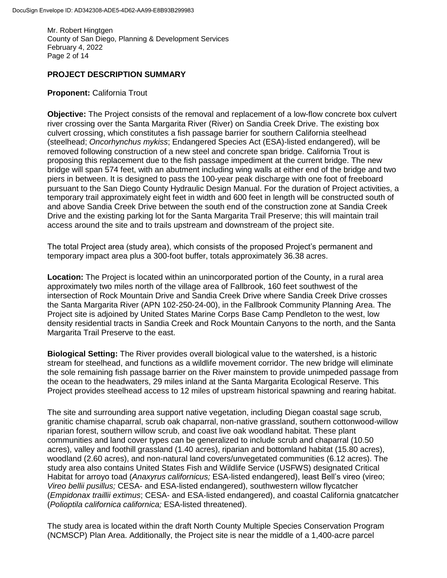Mr. Robert Hingtgen County of San Diego, Planning & Development Services February 4, 2022 Page 2 of 14

### **PROJECT DESCRIPTION SUMMARY**

#### **Proponent:** California Trout

**Objective:** The Project consists of the removal and replacement of a low-flow concrete box culvert river crossing over the Santa Margarita River (River) on Sandia Creek Drive. The existing box culvert crossing, which constitutes a fish passage barrier for southern California steelhead (steelhead; *Oncorhynchus mykiss*; Endangered Species Act (ESA)-listed endangered), will be removed following construction of a new steel and concrete span bridge. California Trout is proposing this replacement due to the fish passage impediment at the current bridge. The new bridge will span 574 feet, with an abutment including wing walls at either end of the bridge and two piers in between. It is designed to pass the 100-year peak discharge with one foot of freeboard pursuant to the San Diego County Hydraulic Design Manual. For the duration of Project activities, a temporary trail approximately eight feet in width and 600 feet in length will be constructed south of and above Sandia Creek Drive between the south end of the construction zone at Sandia Creek Drive and the existing parking lot for the Santa Margarita Trail Preserve; this will maintain trail access around the site and to trails upstream and downstream of the project site.

The total Project area (study area), which consists of the proposed Project's permanent and temporary impact area plus a 300-foot buffer, totals approximately 36.38 acres.

**Location:** The Project is located within an unincorporated portion of the County, in a rural area approximately two miles north of the village area of Fallbrook, 160 feet southwest of the intersection of Rock Mountain Drive and Sandia Creek Drive where Sandia Creek Drive crosses the Santa Margarita River (APN 102-250-24-00), in the Fallbrook Community Planning Area. The Project site is adjoined by United States Marine Corps Base Camp Pendleton to the west, low density residential tracts in Sandia Creek and Rock Mountain Canyons to the north, and the Santa Margarita Trail Preserve to the east.

**Biological Setting:** The River provides overall biological value to the watershed, is a historic stream for steelhead, and functions as a wildlife movement corridor. The new bridge will eliminate the sole remaining fish passage barrier on the River mainstem to provide unimpeded passage from the ocean to the headwaters, 29 miles inland at the Santa Margarita Ecological Reserve. This Project provides steelhead access to 12 miles of upstream historical spawning and rearing habitat.

The site and surrounding area support native vegetation, including Diegan coastal sage scrub, granitic chamise chaparral, scrub oak chaparral, non-native grassland, southern cottonwood-willow riparian forest, southern willow scrub, and coast live oak woodland habitat. These plant communities and land cover types can be generalized to include scrub and chaparral (10.50 acres), valley and foothill grassland (1.40 acres), riparian and bottomland habitat (15.80 acres), woodland (2.60 acres), and non-natural land covers/unvegetated communities (6.12 acres). The study area also contains United States Fish and Wildlife Service (USFWS) designated Critical Habitat for arroyo toad (*Anaxyrus californicus;* ESA-listed endangered), least Bell's vireo (vireo; *Vireo bellii pusillus;* CESA- and ESA-listed endangered), southwestern willow flycatcher (*Empidonax traillii extimus*; CESA- and ESA-listed endangered), and coastal California gnatcatcher (*Polioptila californica californica;* ESA-listed threatened).

The study area is located within the draft North County Multiple Species Conservation Program (NCMSCP) Plan Area. Additionally, the Project site is near the middle of a 1,400-acre parcel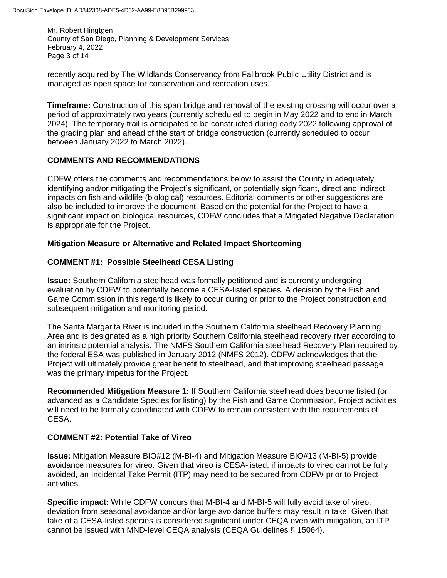Mr. Robert Hingtgen County of San Diego, Planning & Development Services February 4, 2022 Page 3 of 14

recently acquired by The Wildlands Conservancy from Fallbrook Public Utility District and is managed as open space for conservation and recreation uses.

**Timeframe:** Construction of this span bridge and removal of the existing crossing will occur over a period of approximately two years (currently scheduled to begin in May 2022 and to end in March 2024). The temporary trail is anticipated to be constructed during early 2022 following approval of the grading plan and ahead of the start of bridge construction (currently scheduled to occur between January 2022 to March 2022).

## **COMMENTS AND RECOMMENDATIONS**

CDFW offers the comments and recommendations below to assist the County in adequately identifying and/or mitigating the Project's significant, or potentially significant, direct and indirect impacts on fish and wildlife (biological) resources. Editorial comments or other suggestions are also be included to improve the document. Based on the potential for the Project to have a significant impact on biological resources, CDFW concludes that a Mitigated Negative Declaration is appropriate for the Project.

# **Mitigation Measure or Alternative and Related Impact Shortcoming**

# **COMMENT #1: Possible Steelhead CESA Listing**

**Issue:** Southern California steelhead was formally petitioned and is currently undergoing evaluation by CDFW to potentially become a CESA-listed species. A decision by the Fish and Game Commission in this regard is likely to occur during or prior to the Project construction and subsequent mitigation and monitoring period.

The Santa Margarita River is included in the Southern California steelhead Recovery Planning Area and is designated as a high priority Southern California steelhead recovery river according to an intrinsic potential analysis. The NMFS Southern California steelhead Recovery Plan required by the federal ESA was published in January 2012 (NMFS 2012). CDFW acknowledges that the Project will ultimately provide great benefit to steelhead, and that improving steelhead passage was the primary impetus for the Project.

**Recommended Mitigation Measure 1:** If Southern California steelhead does become listed (or advanced as a Candidate Species for listing) by the Fish and Game Commission, Project activities will need to be formally coordinated with CDFW to remain consistent with the requirements of CESA.

## **COMMENT #2: Potential Take of Vireo**

**Issue:** Mitigation Measure BIO#12 (M-BI-4) and Mitigation Measure BIO#13 (M-BI-5) provide avoidance measures for vireo. Given that vireo is CESA-listed, if impacts to vireo cannot be fully avoided, an Incidental Take Permit (ITP) may need to be secured from CDFW prior to Project activities.

**Specific impact:** While CDFW concurs that M-BI-4 and M-BI-5 will fully avoid take of vireo, deviation from seasonal avoidance and/or large avoidance buffers may result in take. Given that take of a CESA-listed species is considered significant under CEQA even with mitigation, an ITP cannot be issued with MND-level CEQA analysis (CEQA Guidelines § 15064).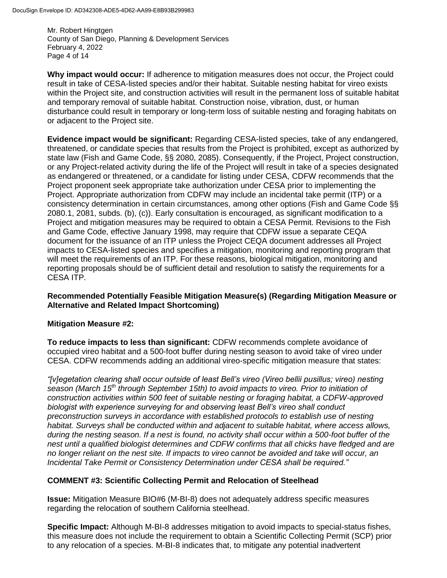Mr. Robert Hingtgen County of San Diego, Planning & Development Services February 4, 2022 Page 4 of 14

**Why impact would occur:** If adherence to mitigation measures does not occur, the Project could result in take of CESA-listed species and/or their habitat. Suitable nesting habitat for vireo exists within the Project site, and construction activities will result in the permanent loss of suitable habitat and temporary removal of suitable habitat. Construction noise, vibration, dust, or human disturbance could result in temporary or long-term loss of suitable nesting and foraging habitats on or adjacent to the Project site.

**Evidence impact would be significant:** Regarding CESA-listed species, take of any endangered, threatened, or candidate species that results from the Project is prohibited, except as authorized by state law (Fish and Game Code, §§ 2080, 2085). Consequently, if the Project, Project construction, or any Project-related activity during the life of the Project will result in take of a species designated as endangered or threatened, or a candidate for listing under CESA, CDFW recommends that the Project proponent seek appropriate take authorization under CESA prior to implementing the Project. Appropriate authorization from CDFW may include an incidental take permit (ITP) or a consistency determination in certain circumstances, among other options (Fish and Game Code §§ 2080.1, 2081, subds. (b), (c)). Early consultation is encouraged, as significant modification to a Project and mitigation measures may be required to obtain a CESA Permit. Revisions to the Fish and Game Code, effective January 1998, may require that CDFW issue a separate CEQA document for the issuance of an ITP unless the Project CEQA document addresses all Project impacts to CESA-listed species and specifies a mitigation, monitoring and reporting program that will meet the requirements of an ITP. For these reasons, biological mitigation, monitoring and reporting proposals should be of sufficient detail and resolution to satisfy the requirements for a CESA ITP.

## **Recommended Potentially Feasible Mitigation Measure(s) (Regarding Mitigation Measure or Alternative and Related Impact Shortcoming)**

## **Mitigation Measure #2:**

**To reduce impacts to less than significant:** CDFW recommends complete avoidance of occupied vireo habitat and a 500-foot buffer during nesting season to avoid take of vireo under CESA. CDFW recommends adding an additional vireo-specific mitigation measure that states:

*"[v]egetation clearing shall occur outside of least Bell's vireo (Vireo bellii pusillus; vireo) nesting season (March 15th through September 15th) to avoid impacts to vireo. Prior to initiation of construction activities within 500 feet of suitable nesting or foraging habitat, a CDFW-approved biologist with experience surveying for and observing least Bell's vireo shall conduct preconstruction surveys in accordance with established protocols to establish use of nesting habitat. Surveys shall be conducted within and adjacent to suitable habitat, where access allows, during the nesting season. If a nest is found, no activity shall occur within a 500-foot buffer of the nest until a qualified biologist determines and CDFW confirms that all chicks have fledged and are no longer reliant on the nest site. If impacts to vireo cannot be avoided and take will occur, an Incidental Take Permit or Consistency Determination under CESA shall be required."*

## **COMMENT #3: Scientific Collecting Permit and Relocation of Steelhead**

**Issue:** Mitigation Measure BIO#6 (M-BI-8) does not adequately address specific measures regarding the relocation of southern California steelhead.

**Specific Impact:** Although M-BI-8 addresses mitigation to avoid impacts to special-status fishes, this measure does not include the requirement to obtain a Scientific Collecting Permit (SCP) prior to any relocation of a species. M-BI-8 indicates that, to mitigate any potential inadvertent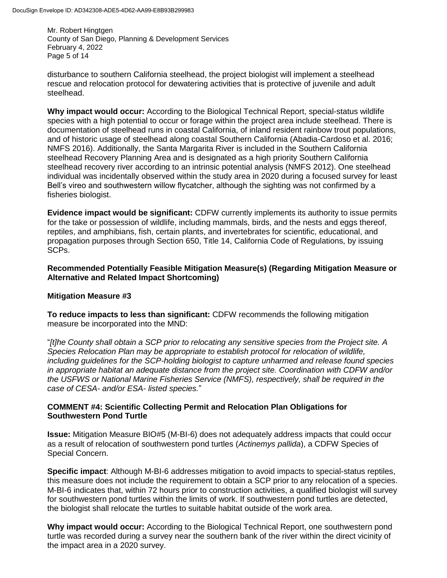Mr. Robert Hingtgen County of San Diego, Planning & Development Services February 4, 2022 Page 5 of 14

disturbance to southern California steelhead, the project biologist will implement a steelhead rescue and relocation protocol for dewatering activities that is protective of juvenile and adult steelhead.

**Why impact would occur:** According to the Biological Technical Report, special-status wildlife species with a high potential to occur or forage within the project area include steelhead. There is documentation of steelhead runs in coastal California, of inland resident rainbow trout populations, and of historic usage of steelhead along coastal Southern California (Abadia-Cardoso et al. 2016; NMFS 2016). Additionally, the Santa Margarita River is included in the Southern California steelhead Recovery Planning Area and is designated as a high priority Southern California steelhead recovery river according to an intrinsic potential analysis (NMFS 2012). One steelhead individual was incidentally observed within the study area in 2020 during a focused survey for least Bell's vireo and southwestern willow flycatcher, although the sighting was not confirmed by a fisheries biologist.

**Evidence impact would be significant:** CDFW currently implements its authority to issue permits for the take or possession of wildlife, including mammals, birds, and the nests and eggs thereof, reptiles, and amphibians, fish, certain plants, and invertebrates for scientific, educational, and propagation purposes through Section 650, Title 14, California Code of Regulations, by issuing SCPs.

**Recommended Potentially Feasible Mitigation Measure(s) (Regarding Mitigation Measure or Alternative and Related Impact Shortcoming)**

## **Mitigation Measure #3**

**To reduce impacts to less than significant:** CDFW recommends the following mitigation measure be incorporated into the MND:

"*[t]he County shall obtain a SCP prior to relocating any sensitive species from the Project site. A Species Relocation Plan may be appropriate to establish protocol for relocation of wildlife, including guidelines for the SCP-holding biologist to capture unharmed and release found species in appropriate habitat an adequate distance from the project site. Coordination with CDFW and/or the USFWS or National Marine Fisheries Service (NMFS), respectively, shall be required in the case of CESA- and/or ESA- listed species.*"

## **COMMENT #4: Scientific Collecting Permit and Relocation Plan Obligations for Southwestern Pond Turtle**

**Issue:** Mitigation Measure BIO#5 (M-BI-6) does not adequately address impacts that could occur as a result of relocation of southwestern pond turtles (*Actinemys pallida*), a CDFW Species of Special Concern.

**Specific impact**: Although M-BI-6 addresses mitigation to avoid impacts to special-status reptiles, this measure does not include the requirement to obtain a SCP prior to any relocation of a species. M-BI-6 indicates that, within 72 hours prior to construction activities, a qualified biologist will survey for southwestern pond turtles within the limits of work. If southwestern pond turtles are detected, the biologist shall relocate the turtles to suitable habitat outside of the work area.

**Why impact would occur:** According to the Biological Technical Report, one southwestern pond turtle was recorded during a survey near the southern bank of the river within the direct vicinity of the impact area in a 2020 survey.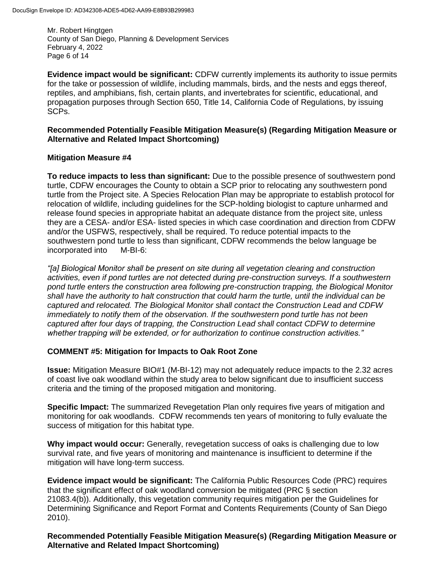Mr. Robert Hingtgen County of San Diego, Planning & Development Services February 4, 2022 Page 6 of 14

**Evidence impact would be significant:** CDFW currently implements its authority to issue permits for the take or possession of wildlife, including mammals, birds, and the nests and eggs thereof, reptiles, and amphibians, fish, certain plants, and invertebrates for scientific, educational, and propagation purposes through Section 650, Title 14, California Code of Regulations, by issuing SCPs.

### **Recommended Potentially Feasible Mitigation Measure(s) (Regarding Mitigation Measure or Alternative and Related Impact Shortcoming)**

#### **Mitigation Measure #4**

**To reduce impacts to less than significant:** Due to the possible presence of southwestern pond turtle, CDFW encourages the County to obtain a SCP prior to relocating any southwestern pond turtle from the Project site. A Species Relocation Plan may be appropriate to establish protocol for relocation of wildlife, including guidelines for the SCP-holding biologist to capture unharmed and release found species in appropriate habitat an adequate distance from the project site, unless they are a CESA- and/or ESA- listed species in which case coordination and direction from CDFW and/or the USFWS, respectively, shall be required. To reduce potential impacts to the southwestern pond turtle to less than significant, CDFW recommends the below language be incorporated into M-BI-6:

*"[a] Biological Monitor shall be present on site during all vegetation clearing and construction activities, even if pond turtles are not detected during pre-construction surveys. If a southwestern pond turtle enters the construction area following pre-construction trapping, the Biological Monitor shall have the authority to halt construction that could harm the turtle, until the individual can be captured and relocated. The Biological Monitor shall contact the Construction Lead and CDFW immediately to notify them of the observation. If the southwestern pond turtle has not been captured after four days of trapping, the Construction Lead shall contact CDFW to determine whether trapping will be extended, or for authorization to continue construction activities."*

## **COMMENT #5: Mitigation for Impacts to Oak Root Zone**

**Issue:** Mitigation Measure BIO#1 (M-BI-12) may not adequately reduce impacts to the 2.32 acres of coast live oak woodland within the study area to below significant due to insufficient success criteria and the timing of the proposed mitigation and monitoring.

**Specific Impact:** The summarized Revegetation Plan only requires five years of mitigation and monitoring for oak woodlands. CDFW recommends ten years of monitoring to fully evaluate the success of mitigation for this habitat type.

**Why impact would occur:** Generally, revegetation success of oaks is challenging due to low survival rate, and five years of monitoring and maintenance is insufficient to determine if the mitigation will have long-term success.

**Evidence impact would be significant:** The California Public Resources Code (PRC) requires that the significant effect of oak woodland conversion be mitigated (PRC § section 21083.4(b)). Additionally, this vegetation community requires mitigation per the Guidelines for Determining Significance and Report Format and Contents Requirements (County of San Diego 2010).

**Recommended Potentially Feasible Mitigation Measure(s) (Regarding Mitigation Measure or Alternative and Related Impact Shortcoming)**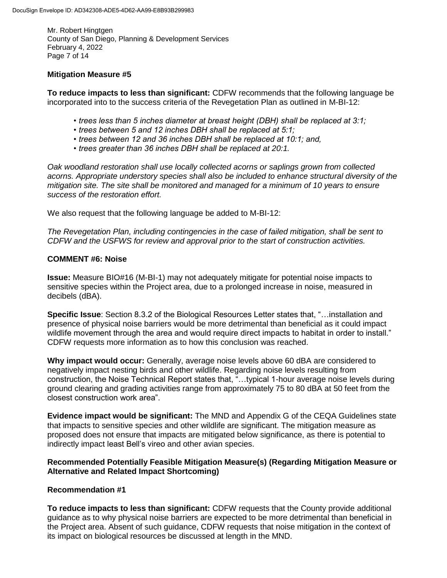Mr. Robert Hingtgen County of San Diego, Planning & Development Services February 4, 2022 Page 7 of 14

# **Mitigation Measure #5**

**To reduce impacts to less than significant:** CDFW recommends that the following language be incorporated into to the success criteria of the Revegetation Plan as outlined in M-BI-12:

- *trees less than 5 inches diameter at breast height (DBH) shall be replaced at 3:1;*
- *1. trees between 5 and 12 inches DBH shall be replaced at 5:1;*
- *2. trees between 12 and 36 inches DBH shall be replaced at 10:1; and,*
- *3. trees greater than 36 inches DBH shall be replaced at 20:1.*

*Oak woodland restoration shall use locally collected acorns or saplings grown from collected acorns. Appropriate understory species shall also be included to enhance structural diversity of the mitigation site. The site shall be monitored and managed for a minimum of 10 years to ensure success of the restoration effort.*

We also request that the following language be added to M-BI-12:

*The Revegetation Plan, including contingencies in the case of failed mitigation, shall be sent to CDFW and the USFWS for review and approval prior to the start of construction activities.* 

#### **COMMENT #6: Noise**

**Issue:** Measure BIO#16 (M-BI-1) may not adequately mitigate for potential noise impacts to sensitive species within the Project area, due to a prolonged increase in noise, measured in decibels (dBA).

**Specific Issue**: Section 8.3.2 of the Biological Resources Letter states that, "…installation and presence of physical noise barriers would be more detrimental than beneficial as it could impact wildlife movement through the area and would require direct impacts to habitat in order to install." CDFW requests more information as to how this conclusion was reached.

**Why impact would occur:** Generally, average noise levels above 60 dBA are considered to negatively impact nesting birds and other wildlife. Regarding noise levels resulting from construction, the Noise Technical Report states that, "…typical 1-hour average noise levels during ground clearing and grading activities range from approximately 75 to 80 dBA at 50 feet from the closest construction work area".

**Evidence impact would be significant:** The MND and Appendix G of the CEQA Guidelines state that impacts to sensitive species and other wildlife are significant. The mitigation measure as proposed does not ensure that impacts are mitigated below significance, as there is potential to indirectly impact least Bell's vireo and other avian species.

## **Recommended Potentially Feasible Mitigation Measure(s) (Regarding Mitigation Measure or Alternative and Related Impact Shortcoming)**

## **Recommendation #1**

**To reduce impacts to less than significant:** CDFW requests that the County provide additional guidance as to why physical noise barriers are expected to be more detrimental than beneficial in the Project area. Absent of such guidance, CDFW requests that noise mitigation in the context of its impact on biological resources be discussed at length in the MND.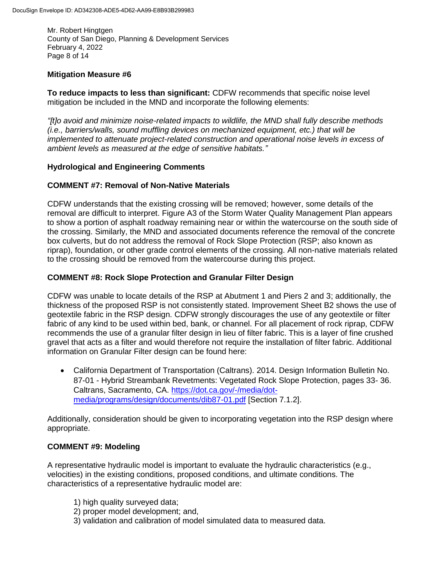Mr. Robert Hingtgen County of San Diego, Planning & Development Services February 4, 2022 Page 8 of 14

# **Mitigation Measure #6**

**To reduce impacts to less than significant:** CDFW recommends that specific noise level mitigation be included in the MND and incorporate the following elements:

*"[t]o avoid and minimize noise-related impacts to wildlife, the MND shall fully describe methods (i.e., barriers/walls, sound muffling devices on mechanized equipment, etc.) that will be implemented to attenuate project-related construction and operational noise levels in excess of ambient levels as measured at the edge of sensitive habitats."*

## **Hydrological and Engineering Comments**

## **COMMENT #7: Removal of Non-Native Materials**

CDFW understands that the existing crossing will be removed; however, some details of the removal are difficult to interpret. Figure A3 of the Storm Water Quality Management Plan appears to show a portion of asphalt roadway remaining near or within the watercourse on the south side of the crossing. Similarly, the MND and associated documents reference the removal of the concrete box culverts, but do not address the removal of Rock Slope Protection (RSP; also known as riprap), foundation, or other grade control elements of the crossing. All non-native materials related to the crossing should be removed from the watercourse during this project.

## **COMMENT #8: Rock Slope Protection and Granular Filter Design**

CDFW was unable to locate details of the RSP at Abutment 1 and Piers 2 and 3; additionally, the thickness of the proposed RSP is not consistently stated. Improvement Sheet B2 shows the use of geotextile fabric in the RSP design. CDFW strongly discourages the use of any geotextile or filter fabric of any kind to be used within bed, bank, or channel. For all placement of rock riprap, CDFW recommends the use of a granular filter design in lieu of filter fabric. This is a layer of fine crushed gravel that acts as a filter and would therefore not require the installation of filter fabric. Additional information on Granular Filter design can be found here:

 California Department of Transportation (Caltrans). 2014. Design Information Bulletin No. 87-01 - Hybrid Streambank Revetments: Vegetated Rock Slope Protection, pages 33- 36. Caltrans, Sacramento, CA. [https://dot.ca.gov/-/media/dot](https://gcc02.safelinks.protection.outlook.com/?url=https%3A%2F%2Fdot.ca.gov%2F-%2Fmedia%2Fdot-media%2Fprograms%2Fdesign%2Fdocuments%2Fdib87-01.pdf&data=04%7C01%7CAlexandra.Troeller%40Wildlife.ca.gov%7C158e7153d6724e130a4f08d9e51ead0b%7C4b633c25efbf40069f1507442ba7aa0b%7C0%7C0%7C637792742187388970%7CUnknown%7CTWFpbGZsb3d8eyJWIjoiMC4wLjAwMDAiLCJQIjoiV2luMzIiLCJBTiI6Ik1haWwiLCJXVCI6Mn0%3D%7C3000&sdata=5z8%2BMq7GqjkLY7iv5Ig3HF%2FCPbtvess29N1O0%2FXOJKQ%3D&reserved=0)[media/programs/design/documents/dib87-01.pdf](https://gcc02.safelinks.protection.outlook.com/?url=https%3A%2F%2Fdot.ca.gov%2F-%2Fmedia%2Fdot-media%2Fprograms%2Fdesign%2Fdocuments%2Fdib87-01.pdf&data=04%7C01%7CAlexandra.Troeller%40Wildlife.ca.gov%7C158e7153d6724e130a4f08d9e51ead0b%7C4b633c25efbf40069f1507442ba7aa0b%7C0%7C0%7C637792742187388970%7CUnknown%7CTWFpbGZsb3d8eyJWIjoiMC4wLjAwMDAiLCJQIjoiV2luMzIiLCJBTiI6Ik1haWwiLCJXVCI6Mn0%3D%7C3000&sdata=5z8%2BMq7GqjkLY7iv5Ig3HF%2FCPbtvess29N1O0%2FXOJKQ%3D&reserved=0) [Section 7.1.2].

Additionally, consideration should be given to incorporating vegetation into the RSP design where appropriate.

## **COMMENT #9: Modeling**

A representative hydraulic model is important to evaluate the hydraulic characteristics (e.g., velocities) in the existing conditions, proposed conditions, and ultimate conditions. The characteristics of a representative hydraulic model are:

- 1) high quality surveyed data;
- 2) proper model development; and,
- 3) validation and calibration of model simulated data to measured data.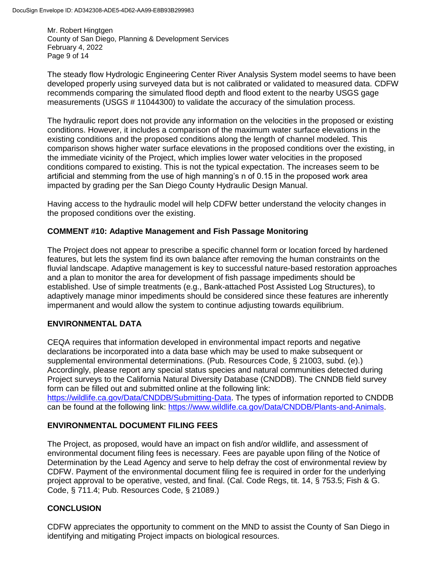Mr. Robert Hingtgen County of San Diego, Planning & Development Services February 4, 2022 Page 9 of 14

The steady flow Hydrologic Engineering Center River Analysis System model seems to have been developed properly using surveyed data but is not calibrated or validated to measured data. CDFW recommends comparing the simulated flood depth and flood extent to the nearby USGS gage measurements (USGS # 11044300) to validate the accuracy of the simulation process.

The hydraulic report does not provide any information on the velocities in the proposed or existing conditions. However, it includes a comparison of the maximum water surface elevations in the existing conditions and the proposed conditions along the length of channel modeled. This comparison shows higher water surface elevations in the proposed conditions over the existing, in the immediate vicinity of the Project, which implies lower water velocities in the proposed conditions compared to existing. This is not the typical expectation. The increases seem to be artificial and stemming from the use of high manning's n of 0.15 in the proposed work area impacted by grading per the San Diego County Hydraulic Design Manual.

Having access to the hydraulic model will help CDFW better understand the velocity changes in the proposed conditions over the existing.

# **COMMENT #10: Adaptive Management and Fish Passage Monitoring**

The Project does not appear to prescribe a specific channel form or location forced by hardened features, but lets the system find its own balance after removing the human constraints on the fluvial landscape. Adaptive management is key to successful nature-based restoration approaches and a plan to monitor the area for development of fish passage impediments should be established. Use of simple treatments (e.g., Bank-attached Post Assisted Log Structures), to adaptively manage minor impediments should be considered since these features are inherently impermanent and would allow the system to continue adjusting towards equilibrium.

## **ENVIRONMENTAL DATA**

CEQA requires that information developed in environmental impact reports and negative declarations be incorporated into a data base which may be used to make subsequent or supplemental environmental determinations. (Pub. Resources Code, § 21003, subd. (e).) Accordingly, please report any special status species and natural communities detected during Project surveys to the California Natural Diversity Database (CNDDB). The CNNDB field survey form can be filled out and submitted online at the following link: [https://wildlife.ca.gov/Data/CNDDB/Submitting-Data.](https://wildlife.ca.gov/Data/CNDDB/Submitting-Data) The types of information reported to CNDDB

can be found at the following link: [https://www.wildlife.ca.gov/Data/CNDDB/Plants-and-Animals.](https://www.wildlife.ca.gov/Data/CNDDB/Plants-and-Animals)

# **ENVIRONMENTAL DOCUMENT FILING FEES**

The Project, as proposed, would have an impact on fish and/or wildlife, and assessment of environmental document filing fees is necessary. Fees are payable upon filing of the Notice of Determination by the Lead Agency and serve to help defray the cost of environmental review by CDFW. Payment of the environmental document filing fee is required in order for the underlying project approval to be operative, vested, and final. (Cal. Code Regs, tit. 14, § 753.5; Fish & G. Code, § 711.4; Pub. Resources Code, § 21089.)

# **CONCLUSION**

CDFW appreciates the opportunity to comment on the MND to assist the County of San Diego in identifying and mitigating Project impacts on biological resources.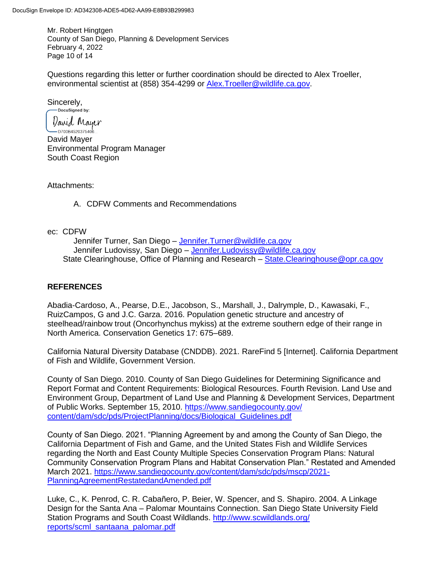Mr. Robert Hingtgen County of San Diego, Planning & Development Services February 4, 2022 Page 10 of 14

Questions regarding this letter or further coordination should be directed to Alex Troeller, environmental scientist at (858) 354-4299 or [Alex.Troeller@wildlife.ca.gov.](mailto:Alex.Troeller@wildlife.ca.gov)

Sincerely,<br> **Docusigned** by:

*David* Mayer — D700B4520375406… David Mayer Environmental Program Manager South Coast Region

Attachments:

A. CDFW Comments and Recommendations

ec: CDFW

Jennifer Turner, San Diego – [Jennifer.Turner@wildlife.ca.gov](mailto:Jennifer.Turner@wildlife.ca.gov) Jennifer Ludovissy, San Diego – [Jennifer.Ludovissy@wildlife.ca.gov](mailto:Jennifer.Ludovissy@wildlife.ca.gov) State Clearinghouse, Office of Planning and Research – [State.Clearinghouse@opr.ca.gov](mailto:State.Clearinghouse@opr.ca.gov)

## **REFERENCES**

Abadia-Cardoso, A., Pearse, D.E., Jacobson, S., Marshall, J., Dalrymple, D., Kawasaki, F., RuizCampos, G and J.C. Garza. 2016. Population genetic structure and ancestry of steelhead/rainbow trout (Oncorhynchus mykiss) at the extreme southern edge of their range in North America. Conservation Genetics 17: 675–689.

California Natural Diversity Database (CNDDB). 2021. RareFind 5 [Internet]. California Department of Fish and Wildlife, Government Version.

County of San Diego. 2010. County of San Diego Guidelines for Determining Significance and Report Format and Content Requirements: Biological Resources. Fourth Revision. Land Use and Environment Group, Department of Land Use and Planning & Development Services, Department of Public Works. September 15, 2010. [https://www.sandiegocounty.gov/](https://www.sandiegocounty.gov/%20content/dam/sdc/pds/ProjectPlanning/docs/Biological_Guidelines.pdf.)  [content/dam/sdc/pds/ProjectPlanning/docs/Biological\\_Guidelines.pdf.](https://www.sandiegocounty.gov/%20content/dam/sdc/pds/ProjectPlanning/docs/Biological_Guidelines.pdf.)

County of San Diego. 2021. "Planning Agreement by and among the County of San Diego, the California Department of Fish and Game, and the United States Fish and Wildlife Services regarding the North and East County Multiple Species Conservation Program Plans: Natural Community Conservation Program Plans and Habitat Conservation Plan." Restated and Amended March 2021. [https://www.sandiegocounty.gov/content/dam/sdc/pds/mscp/2021-](https://www.sandiegocounty.gov/content/dam/sdc/pds/mscp/2021-PlanningAgreementRestatedandAmended.pdf) [PlanningAgreementRestatedandAmended.pdf](https://www.sandiegocounty.gov/content/dam/sdc/pds/mscp/2021-PlanningAgreementRestatedandAmended.pdf)

Luke, C., K. Penrod, C. R. Cabañero, P. Beier, W. Spencer, and S. Shapiro. 2004. A Linkage Design for the Santa Ana – Palomar Mountains Connection. San Diego State University Field Station Programs and South Coast Wildlands. [http://www.scwildlands.org/](http://www.scwildlands.org/%20reports/scml_santaana_palomar.pdf)  [reports/scml\\_santaana\\_palomar.pdf](http://www.scwildlands.org/%20reports/scml_santaana_palomar.pdf)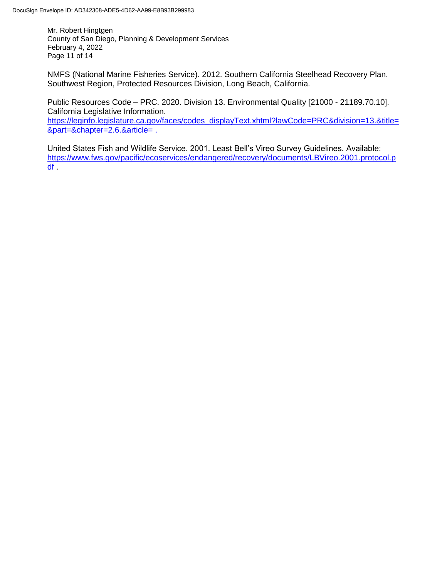Mr. Robert Hingtgen County of San Diego, Planning & Development Services February 4, 2022 Page 11 of 14

NMFS (National Marine Fisheries Service). 2012. Southern California Steelhead Recovery Plan. Southwest Region, Protected Resources Division, Long Beach, California.

Public Resources Code – PRC. 2020. Division 13. Environmental Quality [21000 - 21189.70.10]. California Legislative Information.

[https://leginfo.legislature.ca.gov/faces/codes\\_displayText.xhtml?lawCode=PRC&division=13.&title=](https://leginfo.legislature.ca.gov/faces/codes_displayText.xhtml?lawCode=PRC&division=13.&title=&part=&chapter=2.6.&article=) [&part=&chapter=2.6.&article=](https://leginfo.legislature.ca.gov/faces/codes_displayText.xhtml?lawCode=PRC&division=13.&title=&part=&chapter=2.6.&article=) .

United States Fish and Wildlife Service. 2001. Least Bell's Vireo Survey Guidelines. Available: [https://www.fws.gov/pacific/ecoservices/endangered/recovery/documents/LBVireo.2001.protocol.p](https://www.fws.gov/pacific/ecoservices/endangered/recovery/documents/LBVireo.2001.protocol.pdf) [df](https://www.fws.gov/pacific/ecoservices/endangered/recovery/documents/LBVireo.2001.protocol.pdf) .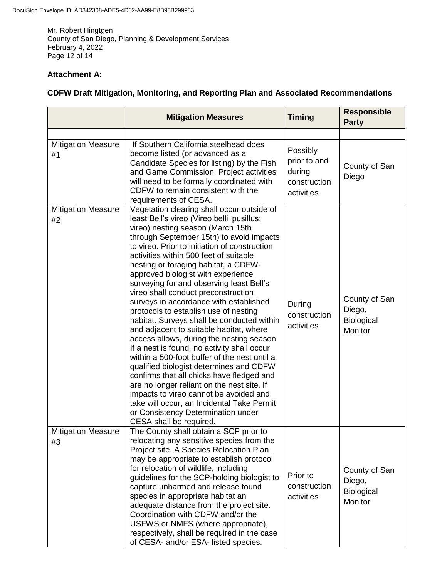Mr. Robert Hingtgen County of San Diego, Planning & Development Services February 4, 2022 Page 12 of 14

# **Attachment A:**

# **CDFW Draft Mitigation, Monitoring, and Reporting Plan and Associated Recommendations**

|                                 | <b>Mitigation Measures</b>                                                                                                                                                                                                                                                                                                                                                                                                                                                                                                                                                                                                                                                                                                                                                                                                                                                                                                                                                                                                                                   | <b>Timing</b>                                                    | <b>Responsible</b><br><b>Party</b>                      |
|---------------------------------|--------------------------------------------------------------------------------------------------------------------------------------------------------------------------------------------------------------------------------------------------------------------------------------------------------------------------------------------------------------------------------------------------------------------------------------------------------------------------------------------------------------------------------------------------------------------------------------------------------------------------------------------------------------------------------------------------------------------------------------------------------------------------------------------------------------------------------------------------------------------------------------------------------------------------------------------------------------------------------------------------------------------------------------------------------------|------------------------------------------------------------------|---------------------------------------------------------|
|                                 |                                                                                                                                                                                                                                                                                                                                                                                                                                                                                                                                                                                                                                                                                                                                                                                                                                                                                                                                                                                                                                                              |                                                                  |                                                         |
| <b>Mitigation Measure</b><br>#1 | If Southern California steelhead does<br>become listed (or advanced as a<br>Candidate Species for listing) by the Fish<br>and Game Commission, Project activities<br>will need to be formally coordinated with<br>CDFW to remain consistent with the<br>requirements of CESA.                                                                                                                                                                                                                                                                                                                                                                                                                                                                                                                                                                                                                                                                                                                                                                                | Possibly<br>prior to and<br>during<br>construction<br>activities | County of San<br>Diego                                  |
| <b>Mitigation Measure</b><br>#2 | Vegetation clearing shall occur outside of<br>least Bell's vireo (Vireo bellii pusillus;<br>vireo) nesting season (March 15th<br>through September 15th) to avoid impacts<br>to vireo. Prior to initiation of construction<br>activities within 500 feet of suitable<br>nesting or foraging habitat, a CDFW-<br>approved biologist with experience<br>surveying for and observing least Bell's<br>vireo shall conduct preconstruction<br>surveys in accordance with established<br>protocols to establish use of nesting<br>habitat. Surveys shall be conducted within<br>and adjacent to suitable habitat, where<br>access allows, during the nesting season.<br>If a nest is found, no activity shall occur<br>within a 500-foot buffer of the nest until a<br>qualified biologist determines and CDFW<br>confirms that all chicks have fledged and<br>are no longer reliant on the nest site. If<br>impacts to vireo cannot be avoided and<br>take will occur, an Incidental Take Permit<br>or Consistency Determination under<br>CESA shall be required. | During<br>construction<br>activities                             | County of San<br>Diego,<br>Biological<br>Monitor        |
| <b>Mitigation Measure</b><br>#3 | The County shall obtain a SCP prior to<br>relocating any sensitive species from the<br>Project site. A Species Relocation Plan<br>may be appropriate to establish protocol<br>for relocation of wildlife, including<br>guidelines for the SCP-holding biologist to<br>capture unharmed and release found<br>species in appropriate habitat an<br>adequate distance from the project site.<br>Coordination with CDFW and/or the<br>USFWS or NMFS (where appropriate),<br>respectively, shall be required in the case<br>of CESA- and/or ESA- listed species.                                                                                                                                                                                                                                                                                                                                                                                                                                                                                                  | Prior to<br>construction<br>activities                           | County of San<br>Diego,<br><b>Biological</b><br>Monitor |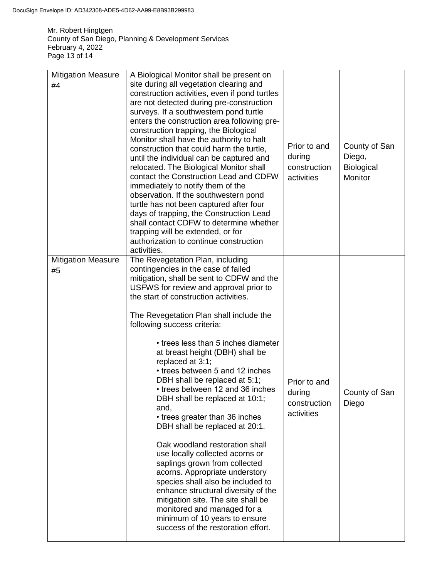Mr. Robert Hingtgen County of San Diego, Planning & Development Services February 4, 2022 Page 13 of 14

| <b>Mitigation Measure</b><br>#4 | A Biological Monitor shall be present on<br>site during all vegetation clearing and<br>construction activities, even if pond turtles<br>are not detected during pre-construction<br>surveys. If a southwestern pond turtle<br>enters the construction area following pre-<br>construction trapping, the Biological<br>Monitor shall have the authority to halt<br>construction that could harm the turtle,<br>until the individual can be captured and<br>relocated. The Biological Monitor shall<br>contact the Construction Lead and CDFW<br>immediately to notify them of the<br>observation. If the southwestern pond<br>turtle has not been captured after four<br>days of trapping, the Construction Lead<br>shall contact CDFW to determine whether<br>trapping will be extended, or for<br>authorization to continue construction<br>activities.                                                                                                              | Prior to and<br>during<br>construction<br>activities | County of San<br>Diego,<br><b>Biological</b><br>Monitor |
|---------------------------------|-----------------------------------------------------------------------------------------------------------------------------------------------------------------------------------------------------------------------------------------------------------------------------------------------------------------------------------------------------------------------------------------------------------------------------------------------------------------------------------------------------------------------------------------------------------------------------------------------------------------------------------------------------------------------------------------------------------------------------------------------------------------------------------------------------------------------------------------------------------------------------------------------------------------------------------------------------------------------|------------------------------------------------------|---------------------------------------------------------|
| <b>Mitigation Measure</b><br>#5 | The Revegetation Plan, including<br>contingencies in the case of failed<br>mitigation, shall be sent to CDFW and the<br>USFWS for review and approval prior to<br>the start of construction activities.<br>The Revegetation Plan shall include the<br>following success criteria:<br>• trees less than 5 inches diameter<br>at breast height (DBH) shall be<br>replaced at 3:1;<br>• trees between 5 and 12 inches<br>DBH shall be replaced at 5:1;<br>• trees between 12 and 36 inches<br>DBH shall be replaced at 10:1;<br>and,<br>• trees greater than 36 inches<br>DBH shall be replaced at 20:1.<br>Oak woodland restoration shall<br>use locally collected acorns or<br>saplings grown from collected<br>acorns. Appropriate understory<br>species shall also be included to<br>enhance structural diversity of the<br>mitigation site. The site shall be<br>monitored and managed for a<br>minimum of 10 years to ensure<br>success of the restoration effort. | Prior to and<br>during<br>construction<br>activities | County of San<br>Diego                                  |